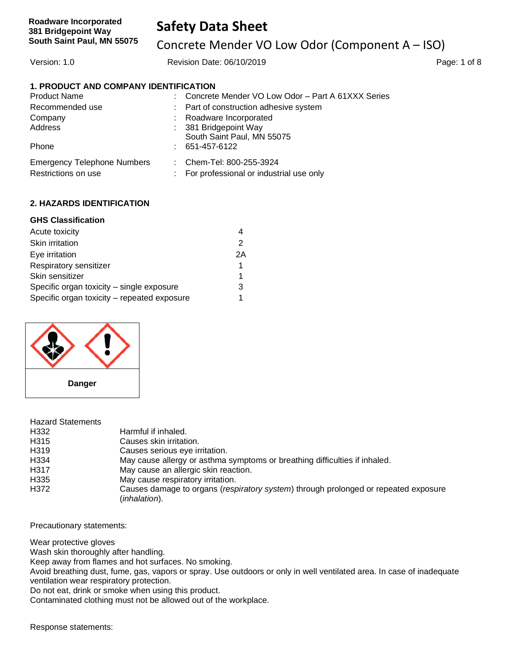Concrete Mender VO Low Odor (Component A – ISO)

Version: 1.0 Revision Date: 06/10/2019 Page: 1 of 8

### **1. PRODUCT AND COMPANY IDENTIFICATION**

| <b>Product Name</b>                |    | : Concrete Mender VO Low Odor - Part A 61XXX Series |
|------------------------------------|----|-----------------------------------------------------|
| Recommended use                    |    | : Part of construction adhesive system              |
| Company                            |    | : Roadware Incorporated                             |
| Address                            |    | : 381 Bridgepoint Way                               |
|                                    |    | South Saint Paul, MN 55075                          |
| Phone                              |    | $: 651 - 457 - 6122$                                |
| <b>Emergency Telephone Numbers</b> |    | : Chem-Tel: 800-255-3924                            |
| Restrictions on use                | ÷. | For professional or industrial use only             |

### **2. HAZARDS IDENTIFICATION**

### **GHS Classification**

| Acute toxicity                              |    |
|---------------------------------------------|----|
| Skin irritation                             | 2  |
| Eye irritation                              | 2A |
| Respiratory sensitizer                      | 1  |
| Skin sensitizer                             | 1  |
| Specific organ toxicity - single exposure   | 3  |
| Specific organ toxicity - repeated exposure |    |



| <b>Hazard Statements</b> |                                                                                                      |
|--------------------------|------------------------------------------------------------------------------------------------------|
| H332                     | Harmful if inhaled.                                                                                  |
| H315                     | Causes skin irritation.                                                                              |
| H319                     | Causes serious eye irritation.                                                                       |
| H334                     | May cause allergy or asthma symptoms or breathing difficulties if inhaled.                           |
| H317                     | May cause an allergic skin reaction.                                                                 |
| H <sub>335</sub>         | May cause respiratory irritation.                                                                    |
| H372                     | Causes damage to organs (respiratory system) through prolonged or repeated exposure<br>(inhalation). |

Precautionary statements:

Wear protective gloves

Wash skin thoroughly after handling.

Keep away from flames and hot surfaces. No smoking.

Avoid breathing dust, fume, gas, vapors or spray. Use outdoors or only in well ventilated area. In case of inadequate ventilation wear respiratory protection.

Do not eat, drink or smoke when using this product.

Contaminated clothing must not be allowed out of the workplace.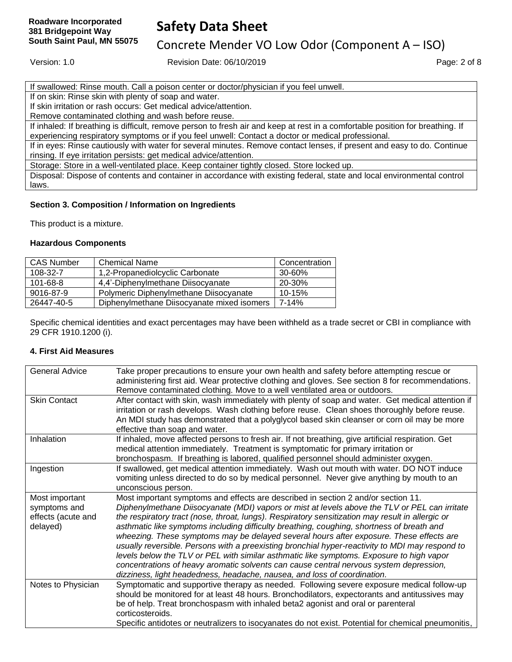Concrete Mender VO Low Odor (Component A – ISO)

Version: 1.0 **Page: 2 of 8** Revision Date: 06/10/2019 **Page: 2 of 8** Page: 2 of 8

| If swallowed: Rinse mouth. Call a poison center or doctor/physician if you feel unwell. |
|-----------------------------------------------------------------------------------------|
|-----------------------------------------------------------------------------------------|

If on skin: Rinse skin with plenty of soap and water.

If skin irritation or rash occurs: Get medical advice/attention.

Remove contaminated clothing and wash before reuse.

If inhaled: If breathing is difficult, remove person to fresh air and keep at rest in a comfortable position for breathing. If experiencing respiratory symptoms or if you feel unwell: Contact a doctor or medical professional.

If in eyes: Rinse cautiously with water for several minutes. Remove contact lenses, if present and easy to do. Continue rinsing. If eye irritation persists: get medical advice/attention.

Storage: Store in a well-ventilated place. Keep container tightly closed. Store locked up.

Disposal: Dispose of contents and container in accordance with existing federal, state and local environmental control laws.

### **Section 3. Composition / Information on Ingredients**

This product is a mixture.

#### **Hazardous Components**

| <b>CAS Number</b> | <b>Chemical Name</b>                       | Concentration |
|-------------------|--------------------------------------------|---------------|
| 108-32-7          | 1,2-Propanediolcyclic Carbonate            | 30-60%        |
| $101 - 68 - 8$    | 4,4'-Diphenylmethane Diisocyanate          | 20-30%        |
| 9016-87-9         | Polymeric Diphenylmethane Diisocyanate     | 10-15%        |
| 26447-40-5        | Diphenylmethane Diisocyanate mixed isomers | 7-14%         |

Specific chemical identities and exact percentages may have been withheld as a trade secret or CBI in compliance with 29 CFR 1910.1200 (i).

#### **4. First Aid Measures**

| <b>General Advice</b> | Take proper precautions to ensure your own health and safety before attempting rescue or<br>administering first aid. Wear protective clothing and gloves. See section 8 for recommendations. |
|-----------------------|----------------------------------------------------------------------------------------------------------------------------------------------------------------------------------------------|
|                       | Remove contaminated clothing. Move to a well ventilated area or outdoors.                                                                                                                    |
| <b>Skin Contact</b>   | After contact with skin, wash immediately with plenty of soap and water. Get medical attention if                                                                                            |
|                       | irritation or rash develops. Wash clothing before reuse. Clean shoes thoroughly before reuse.                                                                                                |
|                       | An MDI study has demonstrated that a polyglycol based skin cleanser or corn oil may be more                                                                                                  |
|                       | effective than soap and water.                                                                                                                                                               |
| Inhalation            | If inhaled, move affected persons to fresh air. If not breathing, give artificial respiration. Get                                                                                           |
|                       | medical attention immediately. Treatment is symptomatic for primary irritation or                                                                                                            |
|                       | bronchospasm. If breathing is labored, qualified personnel should administer oxygen.                                                                                                         |
| Ingestion             | If swallowed, get medical attention immediately. Wash out mouth with water. DO NOT induce                                                                                                    |
|                       | vomiting unless directed to do so by medical personnel. Never give anything by mouth to an                                                                                                   |
|                       | unconscious person.                                                                                                                                                                          |
| Most important        | Most important symptoms and effects are described in section 2 and/or section 11.                                                                                                            |
| symptoms and          | Diphenylmethane Diisocyanate (MDI) vapors or mist at levels above the TLV or PEL can irritate                                                                                                |
| effects (acute and    | the respiratory tract (nose, throat, lungs). Respiratory sensitization may result in allergic or                                                                                             |
| delayed)              | asthmatic like symptoms including difficulty breathing, coughing, shortness of breath and                                                                                                    |
|                       | wheezing. These symptoms may be delayed several hours after exposure. These effects are                                                                                                      |
|                       | usually reversible. Persons with a preexisting bronchial hyper-reactivity to MDI may respond to                                                                                              |
|                       | levels below the TLV or PEL with similar asthmatic like symptoms. Exposure to high vapor                                                                                                     |
|                       | concentrations of heavy aromatic solvents can cause central nervous system depression,                                                                                                       |
|                       | dizziness, light headedness, headache, nausea, and loss of coordination.                                                                                                                     |
| Notes to Physician    | Symptomatic and supportive therapy as needed. Following severe exposure medical follow-up                                                                                                    |
|                       | should be monitored for at least 48 hours. Bronchodilators, expectorants and antitussives may                                                                                                |
|                       | be of help. Treat bronchospasm with inhaled beta2 agonist and oral or parenteral                                                                                                             |
|                       | corticosteroids.                                                                                                                                                                             |
|                       | Specific antidotes or neutralizers to isocyanates do not exist. Potential for chemical pneumonitis,                                                                                          |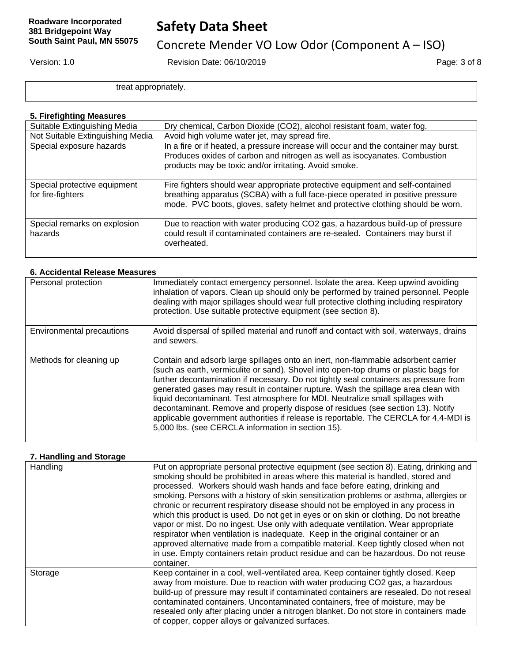# **Safety Data Sheet**

# Concrete Mender VO Low Odor (Component A – ISO)

Version: 1.0 Revision Date: 06/10/2019 Page: 3 of 8

treat appropriately.

### **5. Firefighting Measures**

| Suitable Extinguishing Media                      | Dry chemical, Carbon Dioxide (CO2), alcohol resistant foam, water fog.                                                                                                                                                                             |
|---------------------------------------------------|----------------------------------------------------------------------------------------------------------------------------------------------------------------------------------------------------------------------------------------------------|
| Not Suitable Extinguishing Media                  | Avoid high volume water jet, may spread fire.                                                                                                                                                                                                      |
| Special exposure hazards                          | In a fire or if heated, a pressure increase will occur and the container may burst.<br>Produces oxides of carbon and nitrogen as well as isocyanates. Combustion<br>products may be toxic and/or irritating. Avoid smoke.                          |
| Special protective equipment<br>for fire-fighters | Fire fighters should wear appropriate protective equipment and self-contained<br>breathing apparatus (SCBA) with a full face-piece operated in positive pressure<br>mode. PVC boots, gloves, safety helmet and protective clothing should be worn. |
| Special remarks on explosion<br>hazards           | Due to reaction with water producing CO2 gas, a hazardous build-up of pressure<br>could result if contaminated containers are re-sealed. Containers may burst if<br>overheated.                                                                    |

### **6. Accidental Release Measures**

| Personal protection       | Immediately contact emergency personnel. Isolate the area. Keep upwind avoiding<br>inhalation of vapors. Clean up should only be performed by trained personnel. People<br>dealing with major spillages should wear full protective clothing including respiratory<br>protection. Use suitable protective equipment (see section 8).                                                                                                                                                                                                                                                                                                                                         |
|---------------------------|------------------------------------------------------------------------------------------------------------------------------------------------------------------------------------------------------------------------------------------------------------------------------------------------------------------------------------------------------------------------------------------------------------------------------------------------------------------------------------------------------------------------------------------------------------------------------------------------------------------------------------------------------------------------------|
| Environmental precautions | Avoid dispersal of spilled material and runoff and contact with soil, waterways, drains<br>and sewers.                                                                                                                                                                                                                                                                                                                                                                                                                                                                                                                                                                       |
| Methods for cleaning up   | Contain and adsorb large spillages onto an inert, non-flammable adsorbent carrier<br>(such as earth, vermiculite or sand). Shovel into open-top drums or plastic bags for<br>further decontamination if necessary. Do not tightly seal containers as pressure from<br>generated gases may result in container rupture. Wash the spillage area clean with<br>liquid decontaminant. Test atmosphere for MDI. Neutralize small spillages with<br>decontaminant. Remove and properly dispose of residues (see section 13). Notify<br>applicable government authorities if release is reportable. The CERCLA for 4,4-MDI is<br>5,000 lbs. (see CERCLA information in section 15). |

### **7. Handling and Storage**

| Handling | Put on appropriate personal protective equipment (see section 8). Eating, drinking and<br>smoking should be prohibited in areas where this material is handled, stored and<br>processed. Workers should wash hands and face before eating, drinking and<br>smoking. Persons with a history of skin sensitization problems or asthma, allergies or<br>chronic or recurrent respiratory disease should not be employed in any process in<br>which this product is used. Do not get in eyes or on skin or clothing. Do not breathe<br>vapor or mist. Do no ingest. Use only with adequate ventilation. Wear appropriate<br>respirator when ventilation is inadequate. Keep in the original container or an<br>approved alternative made from a compatible material. Keep tightly closed when not<br>in use. Empty containers retain product residue and can be hazardous. Do not reuse<br>container. |
|----------|---------------------------------------------------------------------------------------------------------------------------------------------------------------------------------------------------------------------------------------------------------------------------------------------------------------------------------------------------------------------------------------------------------------------------------------------------------------------------------------------------------------------------------------------------------------------------------------------------------------------------------------------------------------------------------------------------------------------------------------------------------------------------------------------------------------------------------------------------------------------------------------------------|
| Storage  | Keep container in a cool, well-ventilated area. Keep container tightly closed. Keep<br>away from moisture. Due to reaction with water producing CO2 gas, a hazardous<br>build-up of pressure may result if contaminated containers are resealed. Do not reseal<br>contaminated containers. Uncontaminated containers, free of moisture, may be<br>resealed only after placing under a nitrogen blanket. Do not store in containers made<br>of copper, copper alloys or galvanized surfaces.                                                                                                                                                                                                                                                                                                                                                                                                       |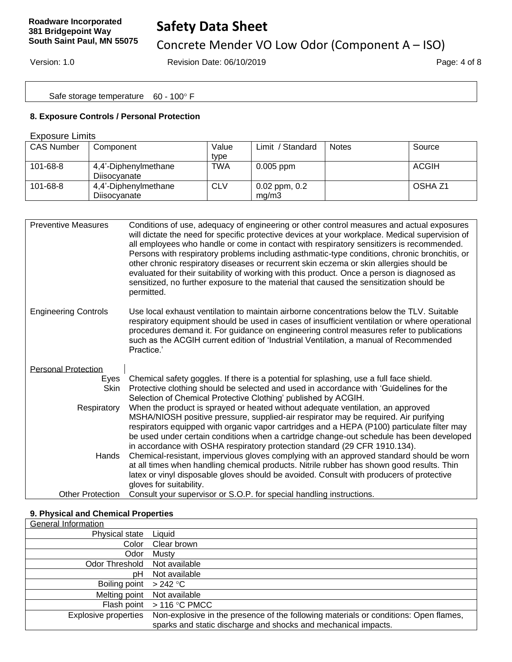# **Safety Data Sheet**

# Concrete Mender VO Low Odor (Component A – ISO)

Version: 1.0 Revision Date: 06/10/2019 Page: 4 of 8

Safe storage temperature 60 - 100° F

### **8. Exposure Controls / Personal Protection**

#### Exposure Limits

| <b>CAS Number</b> | Component                            | Value<br>type | / Standard<br>$Limit$ /    | <b>Notes</b> | Source  |
|-------------------|--------------------------------------|---------------|----------------------------|--------------|---------|
| $101 - 68 - 8$    | 4,4'-Diphenylmethane<br>Diisocyanate | <b>TWA</b>    | $0.005$ ppm                |              | ACGIH   |
| 101-68-8          | 4,4'-Diphenylmethane<br>Diisocvanate | <b>CLV</b>    | $0.02$ ppm, $0.2$<br>ma/m3 |              | OSHA Z1 |

| <b>Preventive Measures</b>  | Conditions of use, adequacy of engineering or other control measures and actual exposures<br>will dictate the need for specific protective devices at your workplace. Medical supervision of<br>all employees who handle or come in contact with respiratory sensitizers is recommended.<br>Persons with respiratory problems including asthmatic-type conditions, chronic bronchitis, or<br>other chronic respiratory diseases or recurrent skin eczema or skin allergies should be<br>evaluated for their suitability of working with this product. Once a person is diagnosed as<br>sensitized, no further exposure to the material that caused the sensitization should be<br>permitted. |
|-----------------------------|----------------------------------------------------------------------------------------------------------------------------------------------------------------------------------------------------------------------------------------------------------------------------------------------------------------------------------------------------------------------------------------------------------------------------------------------------------------------------------------------------------------------------------------------------------------------------------------------------------------------------------------------------------------------------------------------|
| <b>Engineering Controls</b> | Use local exhaust ventilation to maintain airborne concentrations below the TLV. Suitable<br>respiratory equipment should be used in cases of insufficient ventilation or where operational<br>procedures demand it. For guidance on engineering control measures refer to publications<br>such as the ACGIH current edition of 'Industrial Ventilation, a manual of Recommended<br>Practice.'                                                                                                                                                                                                                                                                                               |
| <b>Personal Protection</b>  |                                                                                                                                                                                                                                                                                                                                                                                                                                                                                                                                                                                                                                                                                              |
| Eyes                        | Chemical safety goggles. If there is a potential for splashing, use a full face shield.                                                                                                                                                                                                                                                                                                                                                                                                                                                                                                                                                                                                      |
| Skin                        | Protective clothing should be selected and used in accordance with 'Guidelines for the                                                                                                                                                                                                                                                                                                                                                                                                                                                                                                                                                                                                       |
|                             | Selection of Chemical Protective Clothing' published by ACGIH.                                                                                                                                                                                                                                                                                                                                                                                                                                                                                                                                                                                                                               |
| Respiratory                 | When the product is sprayed or heated without adequate ventilation, an approved<br>MSHA/NIOSH positive pressure, supplied-air respirator may be required. Air purifying                                                                                                                                                                                                                                                                                                                                                                                                                                                                                                                      |
|                             | respirators equipped with organic vapor cartridges and a HEPA (P100) particulate filter may                                                                                                                                                                                                                                                                                                                                                                                                                                                                                                                                                                                                  |
|                             | be used under certain conditions when a cartridge change-out schedule has been developed                                                                                                                                                                                                                                                                                                                                                                                                                                                                                                                                                                                                     |
|                             | in accordance with OSHA respiratory protection standard (29 CFR 1910.134).                                                                                                                                                                                                                                                                                                                                                                                                                                                                                                                                                                                                                   |
| Hands                       | Chemical-resistant, impervious gloves complying with an approved standard should be worn<br>at all times when handling chemical products. Nitrile rubber has shown good results. Thin                                                                                                                                                                                                                                                                                                                                                                                                                                                                                                        |
|                             | latex or vinyl disposable gloves should be avoided. Consult with producers of protective                                                                                                                                                                                                                                                                                                                                                                                                                                                                                                                                                                                                     |
|                             | gloves for suitability.                                                                                                                                                                                                                                                                                                                                                                                                                                                                                                                                                                                                                                                                      |
| <b>Other Protection</b>     | Consult your supervisor or S.O.P. for special handling instructions.                                                                                                                                                                                                                                                                                                                                                                                                                                                                                                                                                                                                                         |

### **9. Physical and Chemical Properties**

| General Information         |                                                                                                                                                        |
|-----------------------------|--------------------------------------------------------------------------------------------------------------------------------------------------------|
| Physical state              | Liquid                                                                                                                                                 |
| Color                       | Clear brown                                                                                                                                            |
| Odor                        | Mustv                                                                                                                                                  |
| Odor Threshold              | Not available                                                                                                                                          |
| pН                          | Not available                                                                                                                                          |
| Boiling point $> 242$ °C    |                                                                                                                                                        |
| Melting point               | Not available                                                                                                                                          |
|                             | Flash point $> 116 °C$ PMCC                                                                                                                            |
| <b>Explosive properties</b> | Non-explosive in the presence of the following materials or conditions: Open flames,<br>sparks and static discharge and shocks and mechanical impacts. |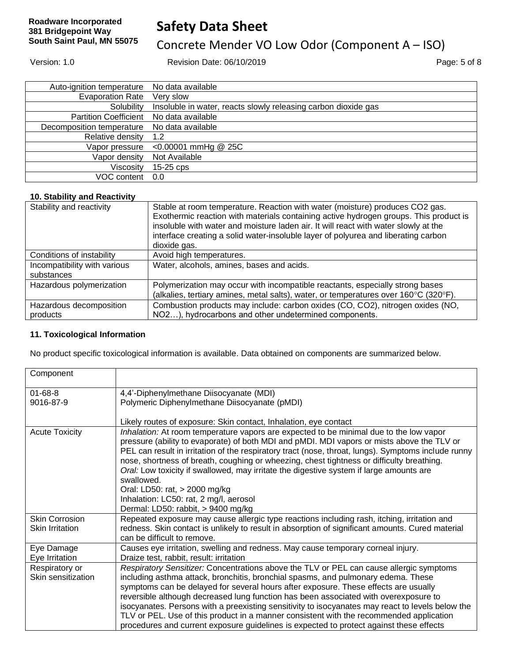# **Safety Data Sheet**

# Concrete Mender VO Low Odor (Component A – ISO)

Version: 1.0 Revision Date: 06/10/2019 Page: 5 of 8

Auto-ignition temperature No data available Evaporation Rate Very slow Solubility Insoluble in water, reacts slowly releasing carbon dioxide gas Partition Coefficient No data available Decomposition temperature No data available Relative density 1.2 Vapor pressure <0.00001 mmHg @ 25C Vapor density Not Available Viscosity 15-25 cps VOC content 0.0

#### **10. Stability and Reactivity**

| Stability and reactivity     | Stable at room temperature. Reaction with water (moisture) produces CO2 gas.                                                                                                 |
|------------------------------|------------------------------------------------------------------------------------------------------------------------------------------------------------------------------|
|                              | Exothermic reaction with materials containing active hydrogen groups. This product is<br>insoluble with water and moisture laden air. It will react with water slowly at the |
|                              | interface creating a solid water-insoluble layer of polyurea and liberating carbon                                                                                           |
|                              | dioxide gas.                                                                                                                                                                 |
| Conditions of instability    | Avoid high temperatures.                                                                                                                                                     |
| Incompatibility with various | Water, alcohols, amines, bases and acids.                                                                                                                                    |
| substances                   |                                                                                                                                                                              |
| Hazardous polymerization     | Polymerization may occur with incompatible reactants, especially strong bases                                                                                                |
|                              | (alkalies, tertiary amines, metal salts), water, or temperatures over 160°C (320°F).                                                                                         |
| Hazardous decomposition      | Combustion products may include: carbon oxides (CO, CO2), nitrogen oxides (NO,                                                                                               |
| products                     | NO2), hydrocarbons and other undetermined components.                                                                                                                        |

#### **11. Toxicological Information**

No product specific toxicological information is available. Data obtained on components are summarized below.

| Component                                       |                                                                                                                                                                                                                                                                                                                                                                                                                                                                                                                                                                                                                                                       |
|-------------------------------------------------|-------------------------------------------------------------------------------------------------------------------------------------------------------------------------------------------------------------------------------------------------------------------------------------------------------------------------------------------------------------------------------------------------------------------------------------------------------------------------------------------------------------------------------------------------------------------------------------------------------------------------------------------------------|
| $01 - 68 - 8$                                   | 4,4'-Diphenylmethane Diisocyanate (MDI)                                                                                                                                                                                                                                                                                                                                                                                                                                                                                                                                                                                                               |
| 9016-87-9                                       | Polymeric Diphenylmethane Diisocyanate (pMDI)                                                                                                                                                                                                                                                                                                                                                                                                                                                                                                                                                                                                         |
|                                                 | Likely routes of exposure: Skin contact, Inhalation, eye contact                                                                                                                                                                                                                                                                                                                                                                                                                                                                                                                                                                                      |
| <b>Acute Toxicity</b>                           | Inhalation: At room temperature vapors are expected to be minimal due to the low vapor<br>pressure (ability to evaporate) of both MDI and pMDI. MDI vapors or mists above the TLV or<br>PEL can result in irritation of the respiratory tract (nose, throat, lungs). Symptoms include runny<br>nose, shortness of breath, coughing or wheezing, chest tightness or difficulty breathing.<br>Oral: Low toxicity if swallowed, may irritate the digestive system if large amounts are<br>swallowed.<br>Oral: LD50: rat, > 2000 mg/kg<br>Inhalation: LC50: rat, 2 mg/l, aerosol                                                                          |
|                                                 | Dermal: LD50: rabbit, > 9400 mg/kg                                                                                                                                                                                                                                                                                                                                                                                                                                                                                                                                                                                                                    |
| <b>Skin Corrosion</b><br><b>Skin Irritation</b> | Repeated exposure may cause allergic type reactions including rash, itching, irritation and<br>redness. Skin contact is unlikely to result in absorption of significant amounts. Cured material<br>can be difficult to remove.                                                                                                                                                                                                                                                                                                                                                                                                                        |
| Eye Damage<br>Eye Irritation                    | Causes eye irritation, swelling and redness. May cause temporary corneal injury.<br>Draize test, rabbit, result: irritation                                                                                                                                                                                                                                                                                                                                                                                                                                                                                                                           |
| Respiratory or<br>Skin sensitization            | Respiratory Sensitizer: Concentrations above the TLV or PEL can cause allergic symptoms<br>including asthma attack, bronchitis, bronchial spasms, and pulmonary edema. These<br>symptoms can be delayed for several hours after exposure. These effects are usually<br>reversible although decreased lung function has been associated with overexposure to<br>isocyanates. Persons with a preexisting sensitivity to isocyanates may react to levels below the<br>TLV or PEL. Use of this product in a manner consistent with the recommended application<br>procedures and current exposure guidelines is expected to protect against these effects |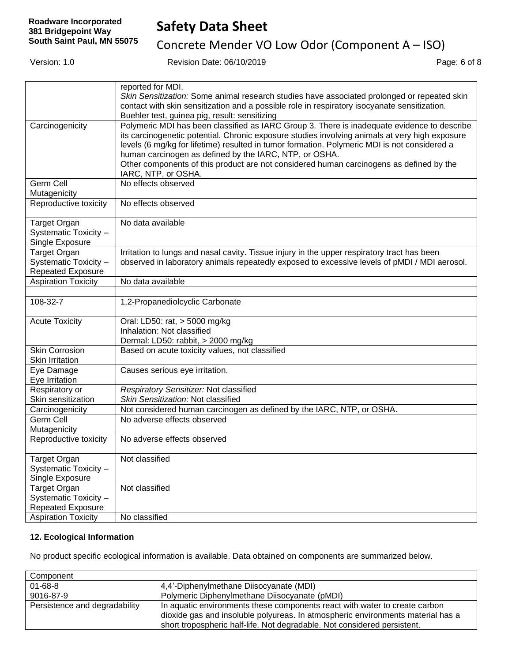Concrete Mender VO Low Odor (Component A – ISO)

Version: 1.0 Revision Date: 06/10/2019 Page: 6 of 8

|                            | reported for MDI.                                                                              |
|----------------------------|------------------------------------------------------------------------------------------------|
|                            | Skin Sensitization: Some animal research studies have associated prolonged or repeated skin    |
|                            | contact with skin sensitization and a possible role in respiratory isocyanate sensitization.   |
|                            | Buehler test, guinea pig, result: sensitizing                                                  |
| Carcinogenicity            | Polymeric MDI has been classified as IARC Group 3. There is inadequate evidence to describe    |
|                            | its carcinogenetic potential. Chronic exposure studies involving animals at very high exposure |
|                            | levels (6 mg/kg for lifetime) resulted in tumor formation. Polymeric MDI is not considered a   |
|                            | human carcinogen as defined by the IARC, NTP, or OSHA.                                         |
|                            | Other components of this product are not considered human carcinogens as defined by the        |
|                            | IARC, NTP, or OSHA.                                                                            |
| Germ Cell                  | No effects observed                                                                            |
| Mutagenicity               |                                                                                                |
| Reproductive toxicity      | No effects observed                                                                            |
|                            |                                                                                                |
| Target Organ               | No data available                                                                              |
| Systematic Toxicity -      |                                                                                                |
| Single Exposure            |                                                                                                |
| <b>Target Organ</b>        | Irritation to lungs and nasal cavity. Tissue injury in the upper respiratory tract has been    |
| Systematic Toxicity -      | observed in laboratory animals repeatedly exposed to excessive levels of pMDI / MDI aerosol.   |
| <b>Repeated Exposure</b>   |                                                                                                |
| <b>Aspiration Toxicity</b> | No data available                                                                              |
|                            |                                                                                                |
| 108-32-7                   | 1,2-Propanediolcyclic Carbonate                                                                |
| <b>Acute Toxicity</b>      | Oral: LD50: rat, > 5000 mg/kg                                                                  |
|                            | Inhalation: Not classified                                                                     |
|                            | Dermal: LD50: rabbit, > 2000 mg/kg                                                             |
| <b>Skin Corrosion</b>      | Based on acute toxicity values, not classified                                                 |
| <b>Skin Irritation</b>     |                                                                                                |
| Eye Damage                 | Causes serious eye irritation.                                                                 |
| Eye Irritation             |                                                                                                |
| Respiratory or             | Respiratory Sensitizer: Not classified                                                         |
| Skin sensitization         | Skin Sensitization: Not classified                                                             |
| Carcinogenicity            | Not considered human carcinogen as defined by the IARC, NTP, or OSHA.                          |
| Germ Cell                  | No adverse effects observed                                                                    |
| Mutagenicity               |                                                                                                |
| Reproductive toxicity      | No adverse effects observed                                                                    |
| Target Organ               | Not classified                                                                                 |
| Systematic Toxicity -      |                                                                                                |
| Single Exposure            |                                                                                                |
| <b>Target Organ</b>        | Not classified                                                                                 |
| Systematic Toxicity -      |                                                                                                |
| <b>Repeated Exposure</b>   |                                                                                                |
| <b>Aspiration Toxicity</b> | No classified                                                                                  |

### **12. Ecological Information**

No product specific ecological information is available. Data obtained on components are summarized below.

| Component                     |                                                                                                                                                                                                                                           |
|-------------------------------|-------------------------------------------------------------------------------------------------------------------------------------------------------------------------------------------------------------------------------------------|
| $01 - 68 - 8$                 | 4,4'-Diphenylmethane Diisocyanate (MDI)                                                                                                                                                                                                   |
| 9016-87-9                     | Polymeric Diphenylmethane Diisocyanate (pMDI)                                                                                                                                                                                             |
| Persistence and degradability | In aquatic environments these components react with water to create carbon<br>dioxide gas and insoluble polyureas. In atmospheric environments material has a<br>short tropospheric half-life. Not degradable. Not considered persistent. |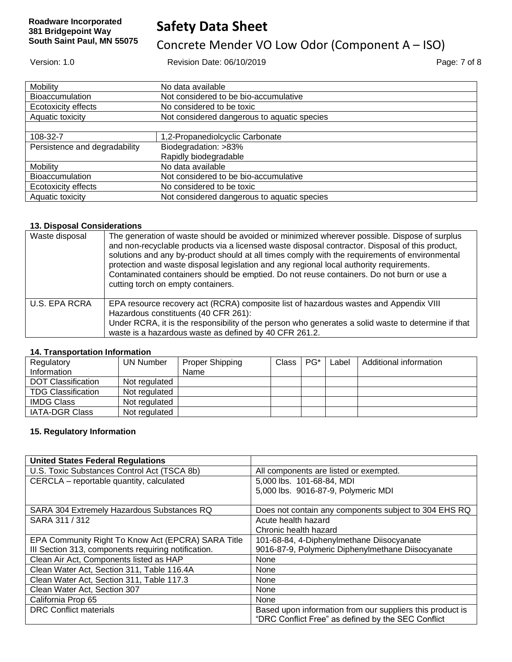# **Safety Data Sheet**

# Concrete Mender VO Low Odor (Component A – ISO)

Version: 1.0 Revision Date: 06/10/2019 Page: 7 of 8

| Mobility                      | No data available                           |
|-------------------------------|---------------------------------------------|
| Bioaccumulation               | Not considered to be bio-accumulative       |
| Ecotoxicity effects           | No considered to be toxic                   |
| Aquatic toxicity              | Not considered dangerous to aquatic species |
|                               |                                             |
| 108-32-7                      | 1,2-Propanediolcyclic Carbonate             |
| Persistence and degradability | Biodegradation: >83%                        |
|                               | Rapidly biodegradable                       |
| Mobility                      | No data available                           |
| Bioaccumulation               | Not considered to be bio-accumulative       |
| Ecotoxicity effects           | No considered to be toxic                   |
| Aquatic toxicity              | Not considered dangerous to aquatic species |

### **13. Disposal Considerations**

| Waste disposal | The generation of waste should be avoided or minimized wherever possible. Dispose of surplus<br>and non-recyclable products via a licensed waste disposal contractor. Disposal of this product,<br>solutions and any by-product should at all times comply with the requirements of environmental<br>protection and waste disposal legislation and any regional local authority requirements.<br>Contaminated containers should be emptied. Do not reuse containers. Do not burn or use a<br>cutting torch on empty containers. |
|----------------|---------------------------------------------------------------------------------------------------------------------------------------------------------------------------------------------------------------------------------------------------------------------------------------------------------------------------------------------------------------------------------------------------------------------------------------------------------------------------------------------------------------------------------|
| U.S. EPA RCRA  | EPA resource recovery act (RCRA) composite list of hazardous wastes and Appendix VIII<br>Hazardous constituents (40 CFR 261):<br>Under RCRA, it is the responsibility of the person who generates a solid waste to determine if that<br>waste is a hazardous waste as defined by 40 CFR 261.2.                                                                                                                                                                                                                                  |

### **14. Transportation Information**

| Regulatory                | <b>UN Number</b> | Proper Shipping | Class | $PG^*$ | Label | Additional information |
|---------------------------|------------------|-----------------|-------|--------|-------|------------------------|
| Information               |                  | Name            |       |        |       |                        |
| <b>DOT Classification</b> | Not regulated    |                 |       |        |       |                        |
| <b>TDG Classification</b> | Not regulated    |                 |       |        |       |                        |
| <b>IMDG Class</b>         | Not regulated    |                 |       |        |       |                        |
| <b>IATA-DGR Class</b>     | Not regulated    |                 |       |        |       |                        |

### **15. Regulatory Information**

| <b>United States Federal Regulations</b>            |                                                           |
|-----------------------------------------------------|-----------------------------------------------------------|
| U.S. Toxic Substances Control Act (TSCA 8b)         | All components are listed or exempted.                    |
| CERCLA - reportable quantity, calculated            | 5,000 lbs. 101-68-84, MDI                                 |
|                                                     | 5,000 lbs. 9016-87-9, Polymeric MDI                       |
|                                                     |                                                           |
| SARA 304 Extremely Hazardous Substances RQ          | Does not contain any components subject to 304 EHS RQ     |
| SARA 311 / 312                                      | Acute health hazard                                       |
|                                                     | Chronic health hazard                                     |
| EPA Community Right To Know Act (EPCRA) SARA Title  | 101-68-84, 4-Diphenylmethane Diisocyanate                 |
| III Section 313, components requiring notification. | 9016-87-9, Polymeric Diphenylmethane Diisocyanate         |
| Clean Air Act, Components listed as HAP             | None                                                      |
| Clean Water Act, Section 311, Table 116.4A          | None                                                      |
| Clean Water Act, Section 311, Table 117.3           | None                                                      |
| Clean Water Act, Section 307                        | <b>None</b>                                               |
| California Prop 65                                  | None                                                      |
| <b>DRC</b> Conflict materials                       | Based upon information from our suppliers this product is |
|                                                     | "DRC Conflict Free" as defined by the SEC Conflict        |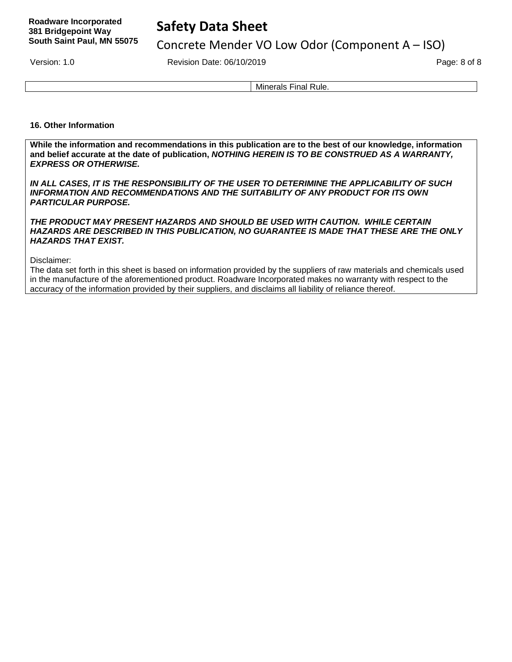# **Safety Data Sheet**

Concrete Mender VO Low Odor (Component A – ISO)

Version: 1.0 **Page: 8 of 8** Revision Date: 06/10/2019 **Page: 8 of 8** Page: 8 of 8

Minerals Final Rule.

### **16. Other Information**

**While the information and recommendations in this publication are to the best of our knowledge, information and belief accurate at the date of publication,** *NOTHING HEREIN IS TO BE CONSTRUED AS A WARRANTY, EXPRESS OR OTHERWISE.*

*IN ALL CASES, IT IS THE RESPONSIBILITY OF THE USER TO DETERIMINE THE APPLICABILITY OF SUCH INFORMATION AND RECOMMENDATIONS AND THE SUITABILITY OF ANY PRODUCT FOR ITS OWN PARTICULAR PURPOSE.* 

*THE PRODUCT MAY PRESENT HAZARDS AND SHOULD BE USED WITH CAUTION. WHILE CERTAIN HAZARDS ARE DESCRIBED IN THIS PUBLICATION, NO GUARANTEE IS MADE THAT THESE ARE THE ONLY HAZARDS THAT EXIST.* 

Disclaimer:

The data set forth in this sheet is based on information provided by the suppliers of raw materials and chemicals used in the manufacture of the aforementioned product. Roadware Incorporated makes no warranty with respect to the accuracy of the information provided by their suppliers, and disclaims all liability of reliance thereof.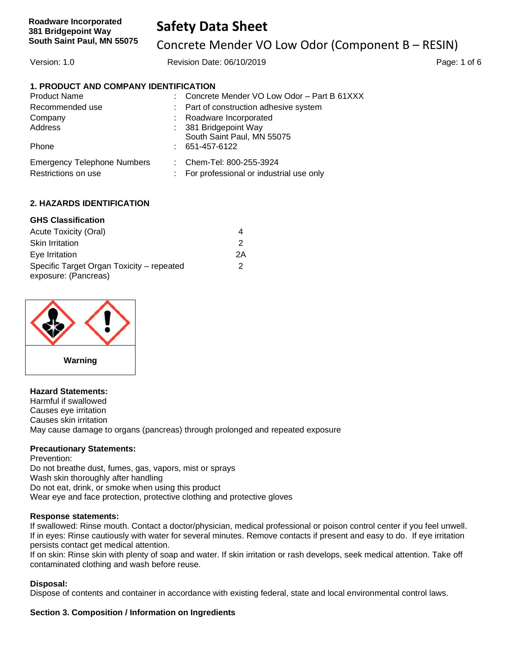Concrete Mender VO Low Odor (Component B – RESIN)

Version: 1.0 **Page: 1 of 6** Revision Date: 06/10/2019 **Page: 1 of 6** Page: 1 of 6

### **1. PRODUCT AND COMPANY IDENTIFICATION**

| <b>Product Name</b>                |    | Concrete Mender VO Low Odor - Part B 61XXX |
|------------------------------------|----|--------------------------------------------|
| Recommended use                    |    | : Part of construction adhesive system     |
| Company                            |    | Roadware Incorporated                      |
| Address                            |    | 381 Bridgepoint Way                        |
|                                    |    | South Saint Paul, MN 55075                 |
| Phone                              |    | 651-457-6122                               |
| <b>Emergency Telephone Numbers</b> | t. | Chem-Tel: 800-255-3924                     |
| Restrictions on use                | ÷  | For professional or industrial use only    |

### **2. HAZARDS IDENTIFICATION**

### **GHS Classification**

| Acute Toxicity (Oral)                     |    |
|-------------------------------------------|----|
| <b>Skin Irritation</b>                    | 2  |
| Eye Irritation                            | 2Α |
| Specific Target Organ Toxicity - repeated | 2  |
| exposure: (Pancreas)                      |    |



### **Hazard Statements:**

Harmful if swallowed Causes eye irritation Causes skin irritation May cause damage to organs (pancreas) through prolonged and repeated exposure

#### **Precautionary Statements:**

Prevention: Do not breathe dust, fumes, gas, vapors, mist or sprays Wash skin thoroughly after handling Do not eat, drink, or smoke when using this product Wear eye and face protection, protective clothing and protective gloves

#### **Response statements:**

If swallowed: Rinse mouth. Contact a doctor/physician, medical professional or poison control center if you feel unwell. If in eyes: Rinse cautiously with water for several minutes. Remove contacts if present and easy to do. If eye irritation persists contact get medical attention.

If on skin: Rinse skin with plenty of soap and water. If skin irritation or rash develops, seek medical attention. Take off contaminated clothing and wash before reuse.

#### **Disposal:**

Dispose of contents and container in accordance with existing federal, state and local environmental control laws.

### **Section 3. Composition / Information on Ingredients**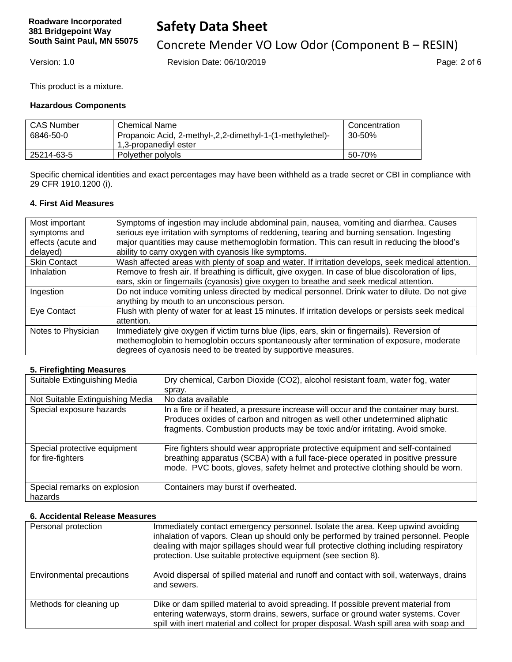# **Safety Data Sheet**

Concrete Mender VO Low Odor (Component B – RESIN)

Version: 1.0 Revision Date: 06/10/2019 Page: 2 of 6

This product is a mixture.

### **Hazardous Components**

| <b>CAS Number</b> | Chemical Name                                               | Concentration |
|-------------------|-------------------------------------------------------------|---------------|
| 6846-50-0         | Propanoic Acid, 2-methyl-, 2, 2-dimethyl-1-(1-methylethel)- | 30-50%        |
|                   | 1,3-propanediyl ester                                       |               |
| 25214-63-5        | Polyether polyols                                           | 50-70%        |

Specific chemical identities and exact percentages may have been withheld as a trade secret or CBI in compliance with 29 CFR 1910.1200 (i).

### **4. First Aid Measures**

| major quantities may cause methemoglobin formation. This can result in reducing the blood's         |
|-----------------------------------------------------------------------------------------------------|
|                                                                                                     |
| Wash affected areas with plenty of soap and water. If irritation develops, seek medical attention.  |
|                                                                                                     |
|                                                                                                     |
| Do not induce vomiting unless directed by medical personnel. Drink water to dilute. Do not give     |
|                                                                                                     |
| Flush with plenty of water for at least 15 minutes. If irritation develops or persists seek medical |
|                                                                                                     |
|                                                                                                     |
| methemoglobin to hemoglobin occurs spontaneously after termination of exposure, moderate            |
|                                                                                                     |
|                                                                                                     |

#### **5. Firefighting Measures**

| Suitable Extinguishing Media                      | Dry chemical, Carbon Dioxide (CO2), alcohol resistant foam, water fog, water<br>spray.                                                                                                                                                             |
|---------------------------------------------------|----------------------------------------------------------------------------------------------------------------------------------------------------------------------------------------------------------------------------------------------------|
| Not Suitable Extinguishing Media                  | No data available                                                                                                                                                                                                                                  |
| Special exposure hazards                          | In a fire or if heated, a pressure increase will occur and the container may burst.<br>Produces oxides of carbon and nitrogen as well other undetermined aliphatic<br>fragments. Combustion products may be toxic and/or irritating. Avoid smoke.  |
| Special protective equipment<br>for fire-fighters | Fire fighters should wear appropriate protective equipment and self-contained<br>breathing apparatus (SCBA) with a full face-piece operated in positive pressure<br>mode. PVC boots, gloves, safety helmet and protective clothing should be worn. |
| Special remarks on explosion<br>hazards           | Containers may burst if overheated.                                                                                                                                                                                                                |

#### **6. Accidental Release Measures**

| Personal protection       | Immediately contact emergency personnel. Isolate the area. Keep upwind avoiding<br>inhalation of vapors. Clean up should only be performed by trained personnel. People<br>dealing with major spillages should wear full protective clothing including respiratory<br>protection. Use suitable protective equipment (see section 8). |
|---------------------------|--------------------------------------------------------------------------------------------------------------------------------------------------------------------------------------------------------------------------------------------------------------------------------------------------------------------------------------|
| Environmental precautions | Avoid dispersal of spilled material and runoff and contact with soil, waterways, drains<br>and sewers.                                                                                                                                                                                                                               |
| Methods for cleaning up   | Dike or dam spilled material to avoid spreading. If possible prevent material from<br>entering waterways, storm drains, sewers, surface or ground water systems. Cover<br>spill with inert material and collect for proper disposal. Wash spill area with soap and                                                                   |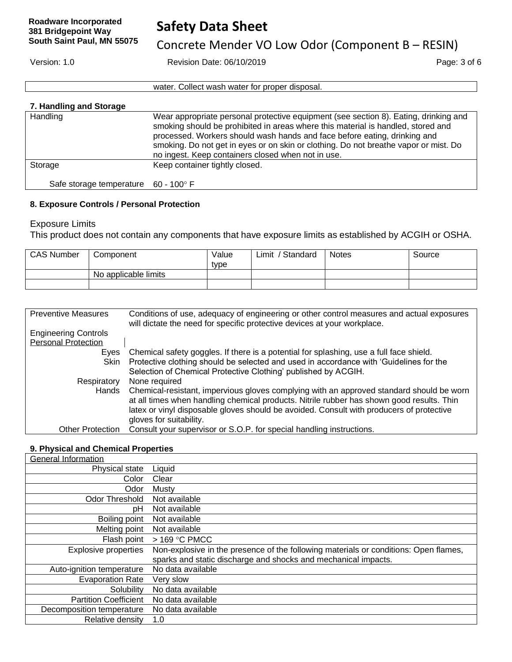Concrete Mender VO Low Odor (Component B – RESIN)

Version: 1.0 Revision Date: 06/10/2019 Page: 3 of 6

water. Collect wash water for proper disposal.

## **7. Handling and Storage**

| Handling                                      | Wear appropriate personal protective equipment (see section 8). Eating, drinking and<br>smoking should be prohibited in areas where this material is handled, stored and<br>processed. Workers should wash hands and face before eating, drinking and<br>smoking. Do not get in eyes or on skin or clothing. Do not breathe vapor or mist. Do<br>no ingest. Keep containers closed when not in use. |
|-----------------------------------------------|-----------------------------------------------------------------------------------------------------------------------------------------------------------------------------------------------------------------------------------------------------------------------------------------------------------------------------------------------------------------------------------------------------|
| Storage                                       | Keep container tightly closed.                                                                                                                                                                                                                                                                                                                                                                      |
| Safe storage temperature $60 - 100^{\circ}$ F |                                                                                                                                                                                                                                                                                                                                                                                                     |

### **8. Exposure Controls / Personal Protection**

Exposure Limits

This product does not contain any components that have exposure limits as established by ACGIH or OSHA.

| <b>CAS Number</b> | Component            | Value<br>type | Limit<br>Standard | Notes | Source |
|-------------------|----------------------|---------------|-------------------|-------|--------|
|                   | No applicable limits |               |                   |       |        |
|                   |                      |               |                   |       |        |

| <b>Preventive Measures</b>  | Conditions of use, adequacy of engineering or other control measures and actual exposures<br>will dictate the need for specific protective devices at your workplace.                                                                                                             |
|-----------------------------|-----------------------------------------------------------------------------------------------------------------------------------------------------------------------------------------------------------------------------------------------------------------------------------|
| <b>Engineering Controls</b> |                                                                                                                                                                                                                                                                                   |
| <b>Personal Protection</b>  |                                                                                                                                                                                                                                                                                   |
| Eyes                        | Chemical safety goggles. If there is a potential for splashing, use a full face shield.                                                                                                                                                                                           |
| Skin                        | Protective clothing should be selected and used in accordance with 'Guidelines for the                                                                                                                                                                                            |
|                             | Selection of Chemical Protective Clothing' published by ACGIH.                                                                                                                                                                                                                    |
| Respiratory                 | None required                                                                                                                                                                                                                                                                     |
| Hands                       | Chemical-resistant, impervious gloves complying with an approved standard should be worn<br>at all times when handling chemical products. Nitrile rubber has shown good results. Thin<br>latex or vinyl disposable gloves should be avoided. Consult with producers of protective |
|                             | gloves for suitability.                                                                                                                                                                                                                                                           |
| <b>Other Protection</b>     | Consult your supervisor or S.O.P. for special handling instructions.                                                                                                                                                                                                              |

### **9. Physical and Chemical Properties**

| <b>General Information</b>   |                                                                                      |
|------------------------------|--------------------------------------------------------------------------------------|
| Physical state               | Liquid                                                                               |
| Color                        | Clear                                                                                |
| Odor                         | Musty                                                                                |
| Odor Threshold               | Not available                                                                        |
| рH                           | Not available                                                                        |
| Boiling point                | Not available                                                                        |
| Melting point                | Not available                                                                        |
| Flash point                  | > 169 °C PMCC                                                                        |
| Explosive properties         | Non-explosive in the presence of the following materials or conditions: Open flames, |
|                              | sparks and static discharge and shocks and mechanical impacts.                       |
| Auto-ignition temperature    | No data available                                                                    |
| <b>Evaporation Rate</b>      | Very slow                                                                            |
| Solubility                   | No data available                                                                    |
| <b>Partition Coefficient</b> | No data available                                                                    |
| Decomposition temperature    | No data available                                                                    |
| Relative density             | 1.0                                                                                  |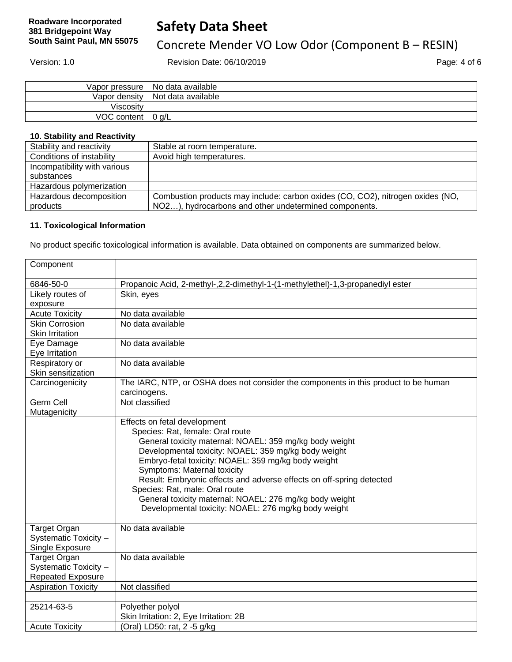# Concrete Mender VO Low Odor (Component B – RESIN)

Version: 1.0 Revision Date: 06/10/2019 Page: 4 of 6

|                   | Vapor pressure No data available |
|-------------------|----------------------------------|
|                   | Vapor density Not data available |
| Viscositv         |                                  |
| VOC content 0 g/L |                                  |

### **10. Stability and Reactivity**

| Stability and reactivity     | Stable at room temperature.                                                    |
|------------------------------|--------------------------------------------------------------------------------|
| Conditions of instability    | Avoid high temperatures.                                                       |
| Incompatibility with various |                                                                                |
| substances                   |                                                                                |
| Hazardous polymerization     |                                                                                |
| Hazardous decomposition      | Combustion products may include: carbon oxides (CO, CO2), nitrogen oxides (NO, |
| products                     | NO2), hydrocarbons and other undetermined components.                          |

### **11. Toxicological Information**

No product specific toxicological information is available. Data obtained on components are summarized below.

| Component                             |                                                                                     |
|---------------------------------------|-------------------------------------------------------------------------------------|
| 6846-50-0                             | Propanoic Acid, 2-methyl-,2,2-dimethyl-1-(1-methylethel)-1,3-propanediyl ester      |
| Likely routes of                      | Skin, eyes                                                                          |
| exposure                              |                                                                                     |
| <b>Acute Toxicity</b>                 | No data available                                                                   |
| <b>Skin Corrosion</b>                 | No data available                                                                   |
| <b>Skin Irritation</b>                |                                                                                     |
| Eye Damage                            | No data available                                                                   |
| Eye Irritation                        |                                                                                     |
| Respiratory or                        | No data available                                                                   |
| Skin sensitization                    |                                                                                     |
| Carcinogenicity                       | The IARC, NTP, or OSHA does not consider the components in this product to be human |
|                                       | carcinogens.                                                                        |
| Germ Cell                             | Not classified                                                                      |
| Mutagenicity                          |                                                                                     |
|                                       | Effects on fetal development                                                        |
|                                       | Species: Rat, female: Oral route                                                    |
|                                       | General toxicity maternal: NOAEL: 359 mg/kg body weight                             |
|                                       | Developmental toxicity: NOAEL: 359 mg/kg body weight                                |
|                                       | Embryo-fetal toxicity: NOAEL: 359 mg/kg body weight                                 |
|                                       | Symptoms: Maternal toxicity                                                         |
|                                       | Result: Embryonic effects and adverse effects on off-spring detected                |
|                                       | Species: Rat, male: Oral route                                                      |
|                                       | General toxicity maternal: NOAEL: 276 mg/kg body weight                             |
|                                       | Developmental toxicity: NOAEL: 276 mg/kg body weight                                |
|                                       | No data available                                                                   |
| Target Organ<br>Systematic Toxicity - |                                                                                     |
| Single Exposure                       |                                                                                     |
| <b>Target Organ</b>                   | No data available                                                                   |
| Systematic Toxicity -                 |                                                                                     |
| Repeated Exposure                     |                                                                                     |
| <b>Aspiration Toxicity</b>            | Not classified                                                                      |
|                                       |                                                                                     |
| 25214-63-5                            | Polyether polyol                                                                    |
|                                       | Skin Irritation: 2, Eye Irritation: 2B                                              |
| <b>Acute Toxicity</b>                 | (Oral) LD50: rat, 2 -5 g/kg                                                         |
|                                       |                                                                                     |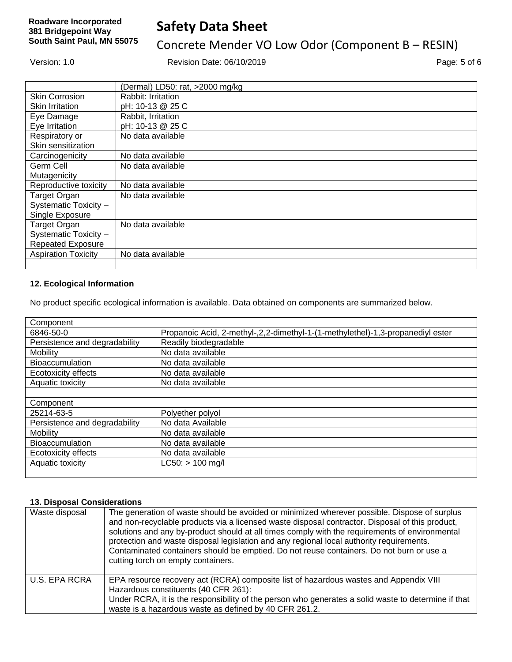# **Safety Data Sheet**

# Concrete Mender VO Low Odor (Component B – RESIN)

Version: 1.0 Revision Date: 06/10/2019 Page: 5 of 6

|                            | (Dermal) LD50: rat, >2000 mg/kg |
|----------------------------|---------------------------------|
| <b>Skin Corrosion</b>      | Rabbit: Irritation              |
| <b>Skin Irritation</b>     | pH: 10-13 @ 25 C                |
| Eye Damage                 | Rabbit, Irritation              |
| Eye Irritation             | pH: 10-13 @ 25 C                |
| Respiratory or             | No data available               |
| Skin sensitization         |                                 |
| Carcinogenicity            | No data available               |
| Germ Cell                  | No data available               |
| Mutagenicity               |                                 |
| Reproductive toxicity      | No data available               |
| <b>Target Organ</b>        | No data available               |
| Systematic Toxicity -      |                                 |
| Single Exposure            |                                 |
| <b>Target Organ</b>        | No data available               |
| Systematic Toxicity -      |                                 |
| <b>Repeated Exposure</b>   |                                 |
| <b>Aspiration Toxicity</b> | No data available               |
|                            |                                 |

### **12. Ecological Information**

No product specific ecological information is available. Data obtained on components are summarized below.

| Component                     |                                                                                |
|-------------------------------|--------------------------------------------------------------------------------|
| 6846-50-0                     | Propanoic Acid, 2-methyl-,2,2-dimethyl-1-(1-methylethel)-1,3-propanediyl ester |
| Persistence and degradability | Readily biodegradable                                                          |
| Mobility                      | No data available                                                              |
| <b>Bioaccumulation</b>        | No data available                                                              |
| Ecotoxicity effects           | No data available                                                              |
| Aquatic toxicity              | No data available                                                              |
|                               |                                                                                |
| Component                     |                                                                                |
| 25214-63-5                    | Polyether polyol                                                               |
| Persistence and degradability | No data Available                                                              |
| Mobility                      | No data available                                                              |
| <b>Bioaccumulation</b>        | No data available                                                              |
| <b>Ecotoxicity effects</b>    | No data available                                                              |
| Aquatic toxicity              | LC50: > 100 mg/l                                                               |
|                               |                                                                                |

### **13. Disposal Considerations**

| Waste disposal       | The generation of waste should be avoided or minimized wherever possible. Dispose of surplus<br>and non-recyclable products via a licensed waste disposal contractor. Disposal of this product,<br>solutions and any by-product should at all times comply with the requirements of environmental<br>protection and waste disposal legislation and any regional local authority requirements.<br>Contaminated containers should be emptied. Do not reuse containers. Do not burn or use a<br>cutting torch on empty containers. |
|----------------------|---------------------------------------------------------------------------------------------------------------------------------------------------------------------------------------------------------------------------------------------------------------------------------------------------------------------------------------------------------------------------------------------------------------------------------------------------------------------------------------------------------------------------------|
| <b>U.S. EPA RCRA</b> | EPA resource recovery act (RCRA) composite list of hazardous wastes and Appendix VIII<br>Hazardous constituents (40 CFR 261):<br>Under RCRA, it is the responsibility of the person who generates a solid waste to determine if that<br>waste is a hazardous waste as defined by 40 CFR 261.2.                                                                                                                                                                                                                                  |